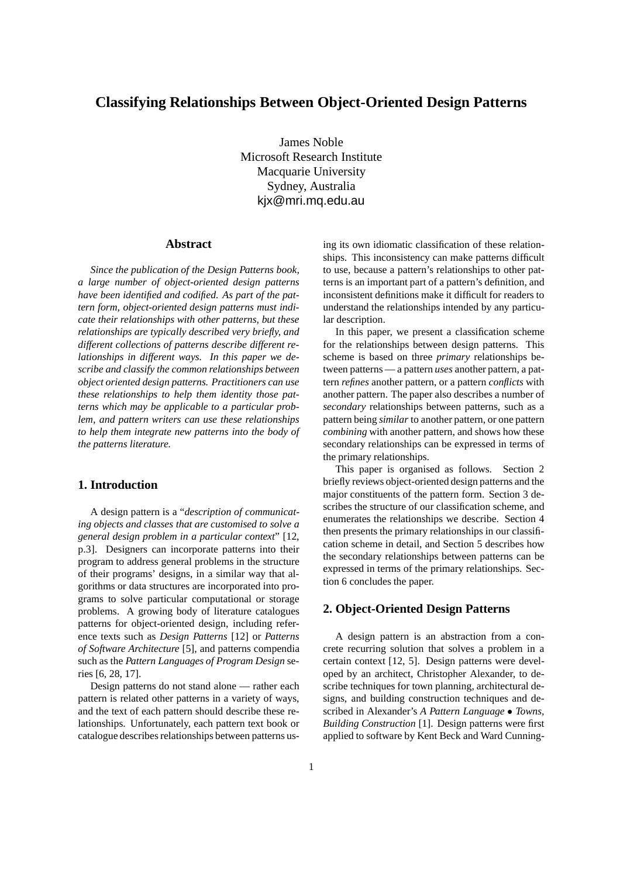# **Classifying Relationships Between Object-Oriented Design Patterns**

James Noble Microsoft Research Institute Macquarie University Sydney, Australia kjx@mri.mq.edu.au

### **Abstract**

*Since the publication of the Design Patterns book, a large number of object-oriented design patterns have been identified and codified. As part of the pattern form, object-oriented design patterns must indicate their relationships with other patterns, but these relationships are typically described very briefly, and different collections of patterns describe different relationships in different ways. In this paper we describe and classify the common relationships between object oriented design patterns. Practitioners can use these relationships to help them identity those patterns which may be applicable to a particular problem, and pattern writers can use these relationships to help them integrate new patterns into the body of the patterns literature.*

# **1. Introduction**

A design pattern is a "*description of communicating objects and classes that are customised to solve a general design problem in a particular context*" [12, p.3]. Designers can incorporate patterns into their program to address general problems in the structure of their programs' designs, in a similar way that algorithms or data structures are incorporated into programs to solve particular computational or storage problems. A growing body of literature catalogues patterns for object-oriented design, including reference texts such as *Design Patterns* [12] or *Patterns of Software Architecture* [5], and patterns compendia such as the *Pattern Languages of Program Design* series [6, 28, 17].

Design patterns do not stand alone — rather each pattern is related other patterns in a variety of ways, and the text of each pattern should describe these relationships. Unfortunately, each pattern text book or catalogue describes relationships between patterns using its own idiomatic classification of these relationships. This inconsistency can make patterns difficult to use, because a pattern's relationships to other patterns is an important part of a pattern's definition, and inconsistent definitions make it difficult for readers to understand the relationships intended by any particular description.

In this paper, we present a classification scheme for the relationships between design patterns. This scheme is based on three *primary* relationships between patterns — a pattern *uses* another pattern, a pattern *refines* another pattern, or a pattern *conflicts* with another pattern. The paper also describes a number of *secondary* relationships between patterns, such as a pattern being *similar* to another pattern, or one pattern *combining* with another pattern, and shows how these secondary relationships can be expressed in terms of the primary relationships.

This paper is organised as follows. Section 2 briefly reviews object-oriented design patterns and the major constituents of the pattern form. Section 3 describes the structure of our classification scheme, and enumerates the relationships we describe. Section 4 then presents the primary relationships in our classification scheme in detail, and Section 5 describes how the secondary relationships between patterns can be expressed in terms of the primary relationships. Section 6 concludes the paper.

# **2. Object-Oriented Design Patterns**

A design pattern is an abstraction from a concrete recurring solution that solves a problem in a certain context [12, 5]. Design patterns were developed by an architect, Christopher Alexander, to describe techniques for town planning, architectural designs, and building construction techniques and described in Alexander's *A Pattern Language Towns, Building Construction* [1]. Design patterns were first applied to software by Kent Beck and Ward Cunning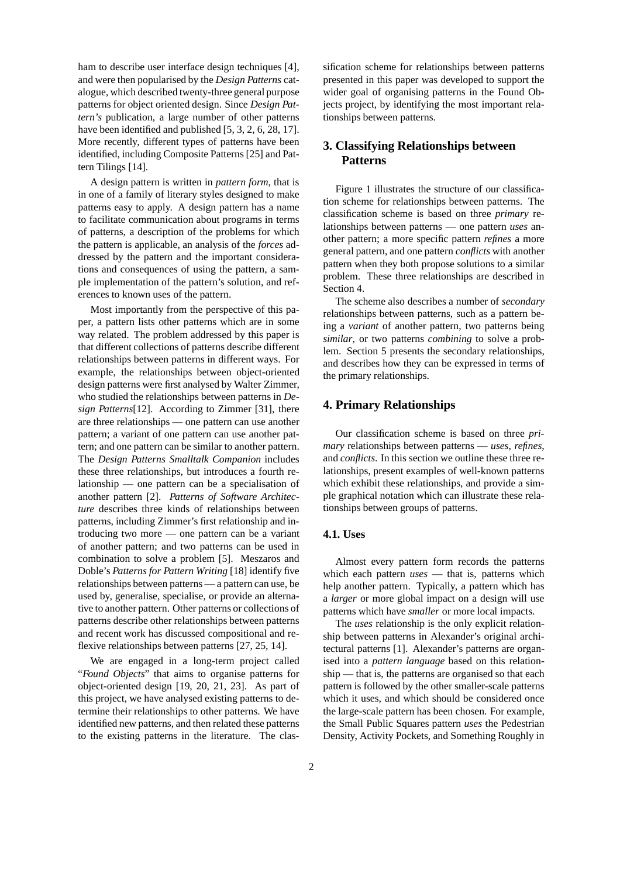ham to describe user interface design techniques [4], and were then popularised by the *Design Patterns* catalogue, which described twenty-three general purpose patterns for object oriented design. Since *Design Pattern's* publication, a large number of other patterns have been identified and published [5, 3, 2, 6, 28, 17]. More recently, different types of patterns have been identified, including Composite Patterns [25] and Pattern Tilings [14].

A design pattern is written in *pattern form*, that is in one of a family of literary styles designed to make patterns easy to apply. A design pattern has a name to facilitate communication about programs in terms of patterns, a description of the problems for which the pattern is applicable, an analysis of the *forces* addressed by the pattern and the important considerations and consequences of using the pattern, a sample implementation of the pattern's solution, and references to known uses of the pattern.

Most importantly from the perspective of this paper, a pattern lists other patterns which are in some way related. The problem addressed by this paper is that different collections of patterns describe different relationships between patterns in different ways. For example, the relationships between object-oriented design patterns were first analysed by Walter Zimmer, who studied the relationships between patterns in *Design Patterns*[12]. According to Zimmer [31], there are three relationships — one pattern can use another pattern; a variant of one pattern can use another pattern; and one pattern can be similar to another pattern. The *Design Patterns Smalltalk Companion* includes these three relationships, but introduces a fourth relationship — one pattern can be a specialisation of another pattern [2]. *Patterns of Software Architecture* describes three kinds of relationships between patterns, including Zimmer's first relationship and introducing two more — one pattern can be a variant of another pattern; and two patterns can be used in combination to solve a problem [5]. Meszaros and Doble's *Patterns for Pattern Writing* [18] identify five relationships between patterns — a pattern can use, be used by, generalise, specialise, or provide an alternative to another pattern. Other patterns or collections of patterns describe other relationships between patterns and recent work has discussed compositional and reflexive relationships between patterns [27, 25, 14].

We are engaged in a long-term project called "*Found Objects*" that aims to organise patterns for object-oriented design [19, 20, 21, 23]. As part of this project, we have analysed existing patterns to determine their relationships to other patterns. We have identified new patterns, and then related these patterns to the existing patterns in the literature. The classification scheme for relationships between patterns presented in this paper was developed to support the wider goal of organising patterns in the Found Objects project, by identifying the most important relationships between patterns.

# **3. Classifying Relationships between Patterns**

Figure 1 illustrates the structure of our classification scheme for relationships between patterns. The classification scheme is based on three *primary* relationships between patterns — one pattern *uses* another pattern; a more specific pattern *refines* a more general pattern, and one pattern *conflicts* with another pattern when they both propose solutions to a similar problem. These three relationships are described in Section 4.

The scheme also describes a number of *secondary* relationships between patterns, such as a pattern being a *variant* of another pattern, two patterns being *similar*, or two patterns *combining* to solve a problem. Section 5 presents the secondary relationships, and describes how they can be expressed in terms of the primary relationships.

# **4. Primary Relationships**

Our classification scheme is based on three *primary* relationships between patterns — *uses*, *refines*, and *conflicts*. In this section we outline these three relationships, present examples of well-known patterns which exhibit these relationships, and provide a simple graphical notation which can illustrate these relationships between groups of patterns.

### **4.1. Uses**

Almost every pattern form records the patterns which each pattern *uses* — that is, patterns which help another pattern. Typically, a pattern which has a *larger* or more global impact on a design will use patterns which have *smaller* or more local impacts.

The *uses* relationship is the only explicit relationship between patterns in Alexander's original architectural patterns [1]. Alexander's patterns are organised into a *pattern language* based on this relationship — that is, the patterns are organised so that each pattern is followed by the other smaller-scale patterns which it uses, and which should be considered once the large-scale pattern has been chosen. For example, the Small Public Squares pattern *uses* the Pedestrian Density, Activity Pockets, and Something Roughly in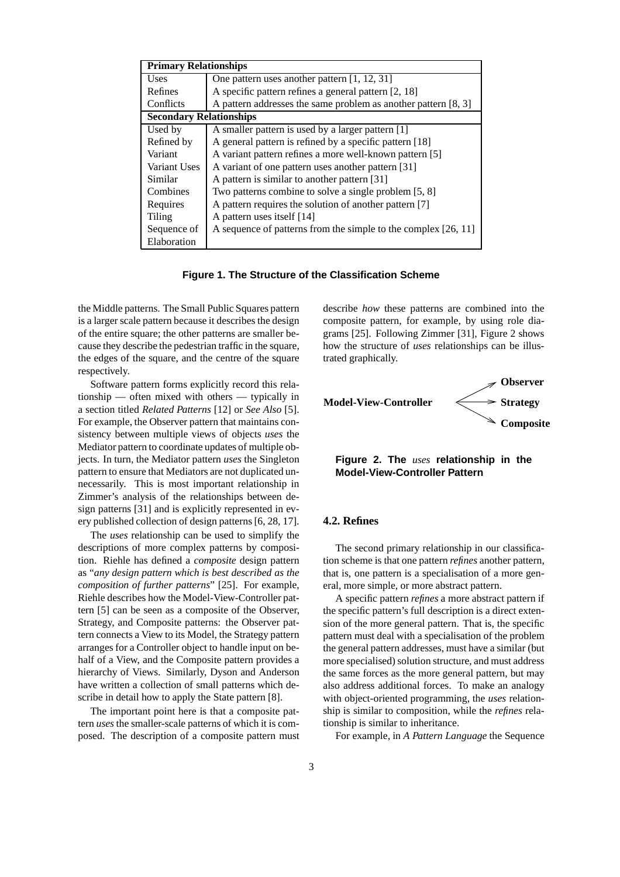| <b>Primary Relationships</b>   |                                                                |
|--------------------------------|----------------------------------------------------------------|
| <b>Uses</b>                    | One pattern uses another pattern [1, 12, 31]                   |
| Refines                        | A specific pattern refines a general pattern [2, 18]           |
| Conflicts                      | A pattern addresses the same problem as another pattern [8, 3] |
| <b>Secondary Relationships</b> |                                                                |
| Used by                        | A smaller pattern is used by a larger pattern [1]              |
| Refined by                     | A general pattern is refined by a specific pattern [18]        |
| Variant                        | A variant pattern refines a more well-known pattern [5]        |
| Variant Uses                   | A variant of one pattern uses another pattern [31]             |
| Similar                        | A pattern is similar to another pattern [31]                   |
| Combines                       | Two patterns combine to solve a single problem [5, 8]          |
| Requires                       | A pattern requires the solution of another pattern [7]         |
| <b>Tiling</b>                  | A pattern uses itself [14]                                     |
| Sequence of                    | A sequence of patterns from the simple to the complex [26, 11] |
| Elaboration                    |                                                                |

**Figure 1. The Structure of the Classification Scheme**

the Middle patterns. The Small Public Squares pattern is a larger scale pattern because it describes the design of the entire square; the other patterns are smaller because they describe the pedestrian traffic in the square, the edges of the square, and the centre of the square respectively.

Software pattern forms explicitly record this relationship — often mixed with others — typically in a section titled *Related Patterns* [12] or *See Also* [5]. For example, the Observer pattern that maintains consistency between multiple views of objects *uses* the Mediator pattern to coordinate updates of multiple objects. In turn, the Mediator pattern *uses* the Singleton pattern to ensure that Mediators are not duplicated unnecessarily. This is most important relationship in Zimmer's analysis of the relationships between design patterns [31] and is explicitly represented in every published collection of design patterns [6, 28, 17].

The *uses* relationship can be used to simplify the descriptions of more complex patterns by composition. Riehle has defined a *composite* design pattern as "*any design pattern which is best described as the composition of further patterns*" [25]. For example, Riehle describes how the Model-View-Controller pattern [5] can be seen as a composite of the Observer, Strategy, and Composite patterns: the Observer pattern connects a View to its Model, the Strategy pattern arranges for a Controller object to handle input on behalf of a View, and the Composite pattern provides a hierarchy of Views. Similarly, Dyson and Anderson have written a collection of small patterns which describe in detail how to apply the State pattern [8].

The important point here is that a composite pattern *uses* the smaller-scale patterns of which it is composed. The description of a composite pattern must describe *how* these patterns are combined into the composite pattern, for example, by using role diagrams [25]. Following Zimmer [31], Figure 2 shows how the structure of *uses* relationships can be illustrated graphically.



**Figure 2. The** *uses* **relationship in the Model-View-Controller Pattern**

# **4.2. Refines**

The second primary relationship in our classification scheme is that one pattern *refines* another pattern, that is, one pattern is a specialisation of a more general, more simple, or more abstract pattern.

A specific pattern *refines* a more abstract pattern if the specific pattern's full description is a direct extension of the more general pattern. That is, the specific pattern must deal with a specialisation of the problem the general pattern addresses, must have a similar (but more specialised) solution structure, and must address the same forces as the more general pattern, but may also address additional forces. To make an analogy with object-oriented programming, the *uses* relationship is similar to composition, while the *refines* relationship is similar to inheritance.

For example, in *A Pattern Language* the Sequence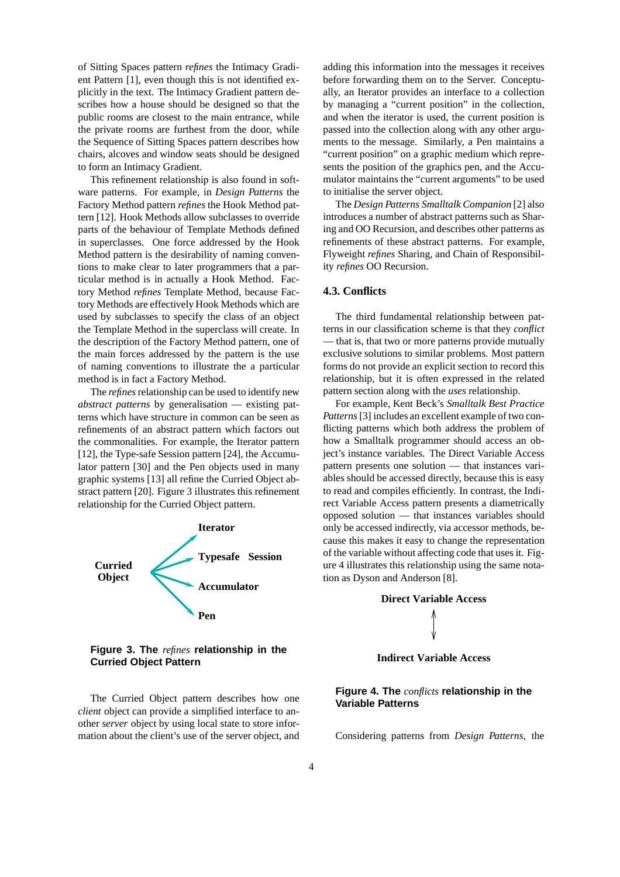of Sitting Spaces pattern *refines* the Intimacy Gradient Pattern [1], even though this is not identified explicitly in the text. The Intimacy Gradient pattern describes how a house should be designed so that the public rooms are closest to the main entrance, while the private rooms are furthest from the door, while the Sequence of Sitting Spaces pattern describes how chairs, alcoves and window seats should be designed to form an Intimacy Gradient.

This refinement relationship is also found in software patterns. For example, in *Design Patterns* the Factory Method pattern *refines* the Hook Method pattern [12]. Hook Methods allow subclasses to override parts of the behaviour of Template Methods defined in superclasses. One force addressed by the Hook Method pattern is the desirability of naming conventions to make clear to later programmers that a particular method is in actually a Hook Method. Factory Method *refines* Template Method, because Factory Methods are effectively Hook Methods which are used by subclasses to specify the class of an object the Template Method in the superclass will create. In the description of the Factory Method pattern, one of the main forces addressed by the pattern is the use of naming conventions to illustrate the a particular method is in fact a Factory Method.

The *refines* relationship can be used to identify new *abstract patterns* by generalisation — existing patterns which have structure in common can be seen as refinements of an abstract pattern which factors out the commonalities. For example, the Iterator pattern [12], the Type-safe Session pattern [24], the Accumulator pattern [30] and the Pen objects used in many graphic systems [13] all refine the Curried Object abstract pattern [20]. Figure 3 illustrates this refinement relationship for the Curried Object pattern.



**Figure 3. The** *refines* **relationship in the Curried Object Pattern**

The Curried Object pattern describes how one *client* object can provide a simplified interface to another *server* object by using local state to store information about the client's use of the server object, and adding this information into the messages it receives before forwarding them on to the Server. Conceptually, an Iterator provides an interface to a collection by managing a "current position" in the collection, and when the iterator is used, the current position is passed into the collection along with any other arguments to the message. Similarly, a Pen maintains a "current position" on a graphic medium which represents the position of the graphics pen, and the Accumulator maintains the "current arguments" to be used to initialise the server object.

The *Design Patterns Smalltalk Companion* [2] also introduces a number of abstract patterns such as Sharing and OO Recursion, and describes other patterns as refinements of these abstract patterns. For example, Flyweight *refines* Sharing, and Chain of Responsibility *refines* OO Recursion.

# **4.3. Conflicts**

The third fundamental relationship between patterns in our classification scheme is that they *conflict* — that is, that two or more patterns provide mutually exclusive solutions to similar problems. Most pattern forms do not provide an explicit section to record this relationship, but it is often expressed in the related pattern section along with the *uses* relationship.

For example, Kent Beck's *Smalltalk Best Practice Patterns*[3] includes an excellent example of two conflicting patterns which both address the problem of how a Smalltalk programmer should access an object's instance variables. The Direct Variable Access pattern presents one solution — that instances variables should be accessed directly, because this is easy to read and compiles efficiently. In contrast, the Indirect Variable Access pattern presents a diametrically opposed solution — that instances variables should only be accessed indirectly, via accessor methods, because this makes it easy to change the representation of the variable without affecting code that uses it. Figure 4 illustrates this relationship using the same notation as Dyson and Anderson [8].

# **Direct Variable Access**

### **Indirect Variable Access**

# **Figure 4. The** *conflicts* **relationship in the Variable Patterns**

Considering patterns from *Design Patterns*, the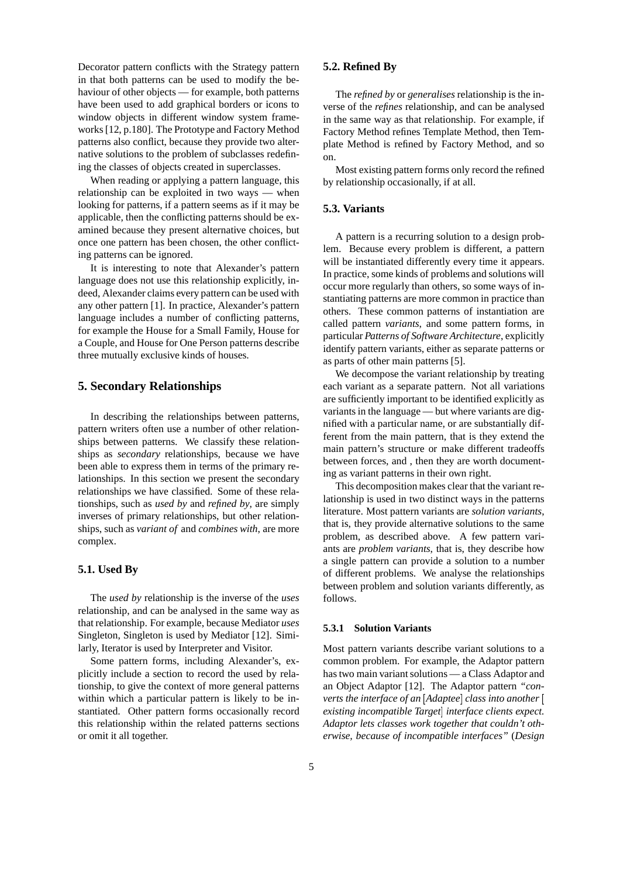Decorator pattern conflicts with the Strategy pattern in that both patterns can be used to modify the behaviour of other objects — for example, both patterns have been used to add graphical borders or icons to window objects in different window system frameworks[12, p.180]. The Prototype and Factory Method patterns also conflict, because they provide two alternative solutions to the problem of subclasses redefining the classes of objects created in superclasses.

When reading or applying a pattern language, this relationship can be exploited in two ways — when looking for patterns, if a pattern seems as if it may be applicable, then the conflicting patterns should be examined because they present alternative choices, but once one pattern has been chosen, the other conflicting patterns can be ignored.

It is interesting to note that Alexander's pattern language does not use this relationship explicitly, indeed, Alexander claims every pattern can be used with any other pattern [1]. In practice, Alexander's pattern language includes a number of conflicting patterns, for example the House for a Small Family, House for a Couple, and House for One Person patterns describe three mutually exclusive kinds of houses.

## **5. Secondary Relationships**

In describing the relationships between patterns, pattern writers often use a number of other relationships between patterns. We classify these relationships as *secondary* relationships, because we have been able to express them in terms of the primary relationships. In this section we present the secondary relationships we have classified. Some of these relationships, such as *used by* and *refined by*, are simply inverses of primary relationships, but other relationships, such as *variant of* and *combines with*, are more complex.

### **5.1. Used By**

The *used by* relationship is the inverse of the *uses* relationship, and can be analysed in the same way as that relationship. For example, because Mediator *uses* Singleton, Singleton is used by Mediator [12]. Similarly, Iterator is used by Interpreter and Visitor.

Some pattern forms, including Alexander's, explicitly include a section to record the used by relationship, to give the context of more general patterns within which a particular pattern is likely to be instantiated. Other pattern forms occasionally record this relationship within the related patterns sections or omit it all together.

### **5.2. Refined By**

The *refined by* or *generalises* relationship is the inverse of the *refines* relationship, and can be analysed in the same way as that relationship. For example, if Factory Method refines Template Method, then Template Method is refined by Factory Method, and so on.

Most existing pattern forms only record the refined by relationship occasionally, if at all.

### **5.3. Variants**

A pattern is a recurring solution to a design problem. Because every problem is different, a pattern will be instantiated differently every time it appears. In practice, some kinds of problems and solutions will occur more regularly than others, so some ways of instantiating patterns are more common in practice than others. These common patterns of instantiation are called pattern *variants*, and some pattern forms, in particular *Patterns of Software Architecture*, explicitly identify pattern variants, either as separate patterns or as parts of other main patterns [5].

We decompose the variant relationship by treating each variant as a separate pattern. Not all variations are sufficiently important to be identified explicitly as variants in the language — but where variants are dignified with a particular name, or are substantially different from the main pattern, that is they extend the main pattern's structure or make different tradeoffs between forces, and , then they are worth documenting as variant patterns in their own right.

This decomposition makes clear that the variant relationship is used in two distinct ways in the patterns literature. Most pattern variants are *solution variants*, that is, they provide alternative solutions to the same problem, as described above. A few pattern variants are *problem variants*, that is, they describe how a single pattern can provide a solution to a number of different problems. We analyse the relationships between problem and solution variants differently, as follows.

### **5.3.1 Solution Variants**

Most pattern variants describe variant solutions to a common problem. For example, the Adaptor pattern has two main variant solutions — a Class Adaptor and an Object Adaptor [12]. The Adaptor pattern *"converts the interface of an Adaptee class into another existing incompatible Target interface clients expect. Adaptor lets classes work together that couldn't otherwise, because of incompatible interfaces"* (*Design*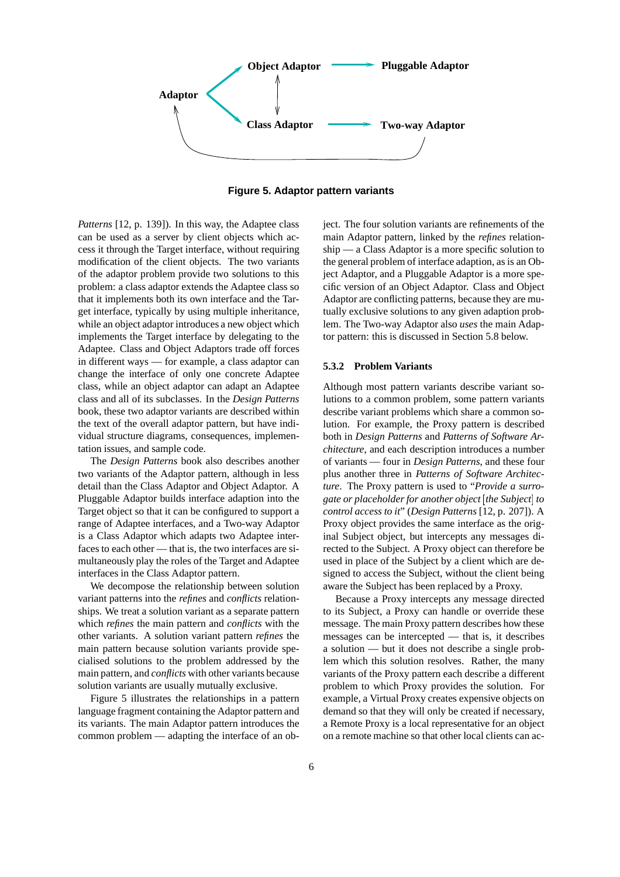

**Figure 5. Adaptor pattern variants**

*Patterns* [12, p. 139]). In this way, the Adaptee class can be used as a server by client objects which access it through the Target interface, without requiring modification of the client objects. The two variants of the adaptor problem provide two solutions to this problem: a class adaptor extends the Adaptee class so that it implements both its own interface and the Target interface, typically by using multiple inheritance, while an object adaptor introduces a new object which implements the Target interface by delegating to the Adaptee. Class and Object Adaptors trade off forces in different ways — for example, a class adaptor can change the interface of only one concrete Adaptee class, while an object adaptor can adapt an Adaptee class and all of its subclasses. In the *Design Patterns* book, these two adaptor variants are described within the text of the overall adaptor pattern, but have individual structure diagrams, consequences, implementation issues, and sample code.

The *Design Patterns* book also describes another two variants of the Adaptor pattern, although in less detail than the Class Adaptor and Object Adaptor. A Pluggable Adaptor builds interface adaption into the Target object so that it can be configured to support a range of Adaptee interfaces, and a Two-way Adaptor is a Class Adaptor which adapts two Adaptee interfaces to each other — that is, the two interfaces are simultaneously play the roles of the Target and Adaptee interfaces in the Class Adaptor pattern.

We decompose the relationship between solution variant patterns into the *refines* and *conflicts* relationships. We treat a solution variant as a separate pattern which *refines* the main pattern and *conflicts* with the other variants. A solution variant pattern *refines* the main pattern because solution variants provide specialised solutions to the problem addressed by the main pattern, and *conflicts* with other variants because solution variants are usually mutually exclusive.

Figure 5 illustrates the relationships in a pattern language fragment containing the Adaptor pattern and its variants. The main Adaptor pattern introduces the common problem — adapting the interface of an object. The four solution variants are refinements of the main Adaptor pattern, linked by the *refines* relationship — a Class Adaptor is a more specific solution to the general problem of interface adaption, as is an Object Adaptor, and a Pluggable Adaptor is a more specific version of an Object Adaptor. Class and Object Adaptor are conflicting patterns, because they are mutually exclusive solutions to any given adaption problem. The Two-way Adaptor also *uses* the main Adaptor pattern: this is discussed in Section 5.8 below.

### **5.3.2 Problem Variants**

Although most pattern variants describe variant solutions to a common problem, some pattern variants describe variant problems which share a common solution. For example, the Proxy pattern is described both in *Design Patterns* and *Patterns of Software Architecture*, and each description introduces a number of variants — four in *Design Patterns*, and these four plus another three in *Patterns of Software Architecture*. The Proxy pattern is used to "*Provide a surrogate or placeholder for another object the Subject to control access to it*" (*Design Patterns* [12, p. 207]). A Proxy object provides the same interface as the original Subject object, but intercepts any messages directed to the Subject. A Proxy object can therefore be used in place of the Subject by a client which are designed to access the Subject, without the client being aware the Subject has been replaced by a Proxy.

Because a Proxy intercepts any message directed to its Subject, a Proxy can handle or override these message. The main Proxy pattern describes how these messages can be intercepted — that is, it describes a solution — but it does not describe a single problem which this solution resolves. Rather, the many variants of the Proxy pattern each describe a different problem to which Proxy provides the solution. For example, a Virtual Proxy creates expensive objects on demand so that they will only be created if necessary, a Remote Proxy is a local representative for an object on a remote machine so that other local clients can ac-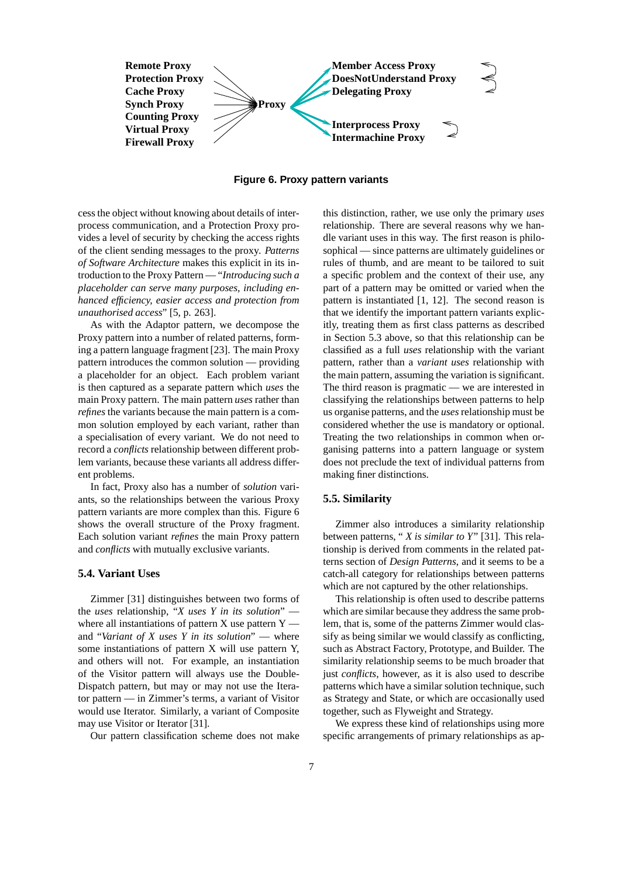

**Figure 6. Proxy pattern variants**

cess the object without knowing about details of interprocess communication, and a Protection Proxy provides a level of security by checking the access rights of the client sending messages to the proxy. *Patterns of Software Architecture* makes this explicit in its introduction to the Proxy Pattern — "*Introducing such a placeholder can serve many purposes, including enhanced efficiency, easier access and protection from unauthorised access*" [5, p. 263].

As with the Adaptor pattern, we decompose the Proxy pattern into a number of related patterns, forming a pattern language fragment [23]. The main Proxy pattern introduces the common solution — providing a placeholder for an object. Each problem variant is then captured as a separate pattern which *uses* the main Proxy pattern. The main pattern *uses* rather than *refines* the variants because the main pattern is a common solution employed by each variant, rather than a specialisation of every variant. We do not need to record a *conflicts* relationship between different problem variants, because these variants all address different problems.

In fact, Proxy also has a number of *solution* variants, so the relationships between the various Proxy pattern variants are more complex than this. Figure 6 shows the overall structure of the Proxy fragment. Each solution variant *refines* the main Proxy pattern and *conflicts* with mutually exclusive variants.

### **5.4. Variant Uses**

Zimmer [31] distinguishes between two forms of the *uses* relationship, "*X uses Y in its solution*" where all instantiations of pattern  $X$  use pattern  $Y$  and "*Variant of X uses Y in its solution*" — where some instantiations of pattern X will use pattern Y, and others will not. For example, an instantiation of the Visitor pattern will always use the Double-Dispatch pattern, but may or may not use the Iterator pattern — in Zimmer's terms, a variant of Visitor would use Iterator. Similarly, a variant of Composite may use Visitor or Iterator [31].

Our pattern classification scheme does not make

this distinction, rather, we use only the primary *uses* relationship. There are several reasons why we handle variant uses in this way. The first reason is philosophical — since patterns are ultimately guidelines or rules of thumb, and are meant to be tailored to suit a specific problem and the context of their use, any part of a pattern may be omitted or varied when the pattern is instantiated [1, 12]. The second reason is that we identify the important pattern variants explicitly, treating them as first class patterns as described in Section 5.3 above, so that this relationship can be classified as a full *uses* relationship with the variant pattern, rather than a *variant uses* relationship with the main pattern, assuming the variation is significant. The third reason is pragmatic — we are interested in classifying the relationships between patterns to help us organise patterns, and the *uses* relationship must be considered whether the use is mandatory or optional. Treating the two relationships in common when organising patterns into a pattern language or system does not preclude the text of individual patterns from making finer distinctions.

# **5.5. Similarity**

Zimmer also introduces a similarity relationship between patterns, " *X is similar to Y*" [31]. This relationship is derived from comments in the related patterns section of *Design Patterns*, and it seems to be a catch-all category for relationships between patterns which are not captured by the other relationships.

This relationship is often used to describe patterns which are similar because they address the same problem, that is, some of the patterns Zimmer would classify as being similar we would classify as conflicting, such as Abstract Factory, Prototype, and Builder. The similarity relationship seems to be much broader that just *conflicts*, however, as it is also used to describe patterns which have a similar solution technique, such as Strategy and State, or which are occasionally used together, such as Flyweight and Strategy.

We express these kind of relationships using more specific arrangements of primary relationships as ap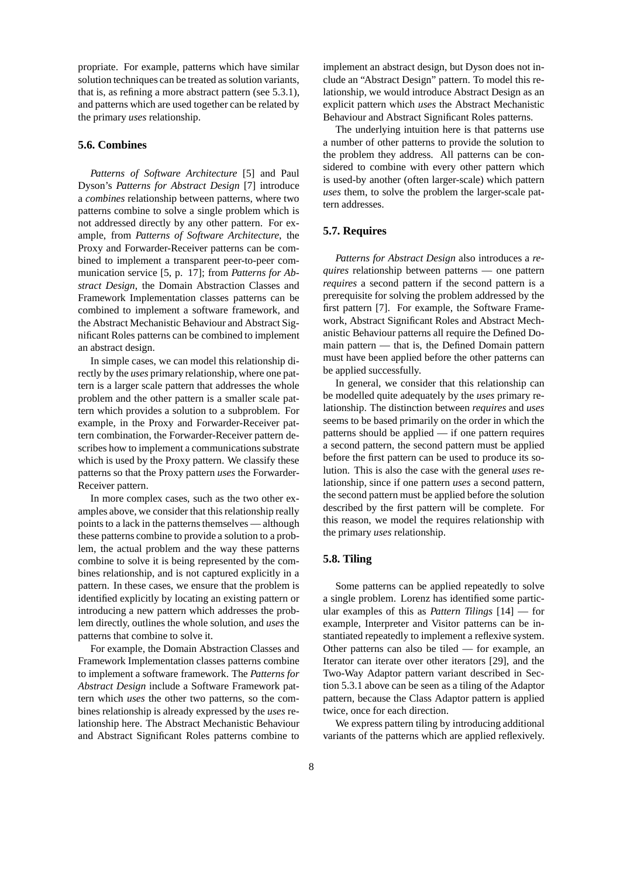propriate. For example, patterns which have similar solution techniques can be treated as solution variants, that is, as refining a more abstract pattern (see 5.3.1), and patterns which are used together can be related by the primary *uses* relationship.

# **5.6. Combines**

*Patterns of Software Architecture* [5] and Paul Dyson's *Patterns for Abstract Design* [7] introduce a *combines* relationship between patterns, where two patterns combine to solve a single problem which is not addressed directly by any other pattern. For example, from *Patterns of Software Architecture*, the Proxy and Forwarder-Receiver patterns can be combined to implement a transparent peer-to-peer communication service [5, p. 17]; from *Patterns for Abstract Design*, the Domain Abstraction Classes and Framework Implementation classes patterns can be combined to implement a software framework, and the Abstract Mechanistic Behaviour and Abstract Significant Roles patterns can be combined to implement an abstract design.

In simple cases, we can model this relationship directly by the *uses* primary relationship, where one pattern is a larger scale pattern that addresses the whole problem and the other pattern is a smaller scale pattern which provides a solution to a subproblem. For example, in the Proxy and Forwarder-Receiver pattern combination, the Forwarder-Receiver pattern describes how to implement a communications substrate which is used by the Proxy pattern. We classify these patterns so that the Proxy pattern *uses* the Forwarder-Receiver pattern.

In more complex cases, such as the two other examples above, we consider that this relationship really points to a lack in the patterns themselves — although these patterns combine to provide a solution to a problem, the actual problem and the way these patterns combine to solve it is being represented by the combines relationship, and is not captured explicitly in a pattern. In these cases, we ensure that the problem is identified explicitly by locating an existing pattern or introducing a new pattern which addresses the problem directly, outlines the whole solution, and *uses* the patterns that combine to solve it.

For example, the Domain Abstraction Classes and Framework Implementation classes patterns combine to implement a software framework. The *Patterns for Abstract Design* include a Software Framework pattern which *uses* the other two patterns, so the combines relationship is already expressed by the *uses* relationship here. The Abstract Mechanistic Behaviour and Abstract Significant Roles patterns combine to

implement an abstract design, but Dyson does not include an "Abstract Design" pattern. To model this relationship, we would introduce Abstract Design as an explicit pattern which *uses* the Abstract Mechanistic Behaviour and Abstract Significant Roles patterns.

The underlying intuition here is that patterns use a number of other patterns to provide the solution to the problem they address. All patterns can be considered to combine with every other pattern which is used-by another (often larger-scale) which pattern *uses* them, to solve the problem the larger-scale pattern addresses.

### **5.7. Requires**

*Patterns for Abstract Design* also introduces a *requires* relationship between patterns — one pattern *requires* a second pattern if the second pattern is a prerequisite for solving the problem addressed by the first pattern [7]. For example, the Software Framework, Abstract Significant Roles and Abstract Mechanistic Behaviour patterns all require the Defined Domain pattern — that is, the Defined Domain pattern must have been applied before the other patterns can be applied successfully.

In general, we consider that this relationship can be modelled quite adequately by the *uses* primary relationship. The distinction between *requires* and *uses* seems to be based primarily on the order in which the patterns should be applied — if one pattern requires a second pattern, the second pattern must be applied before the first pattern can be used to produce its solution. This is also the case with the general *uses* relationship, since if one pattern *uses* a second pattern, the second pattern must be applied before the solution described by the first pattern will be complete. For this reason, we model the requires relationship with the primary *uses* relationship.

### **5.8. Tiling**

Some patterns can be applied repeatedly to solve a single problem. Lorenz has identified some particular examples of this as *Pattern Tilings* [14] — for example, Interpreter and Visitor patterns can be instantiated repeatedly to implement a reflexive system. Other patterns can also be tiled — for example, an Iterator can iterate over other iterators [29], and the Two-Way Adaptor pattern variant described in Section 5.3.1 above can be seen as a tiling of the Adaptor pattern, because the Class Adaptor pattern is applied twice, once for each direction.

We express pattern tiling by introducing additional variants of the patterns which are applied reflexively.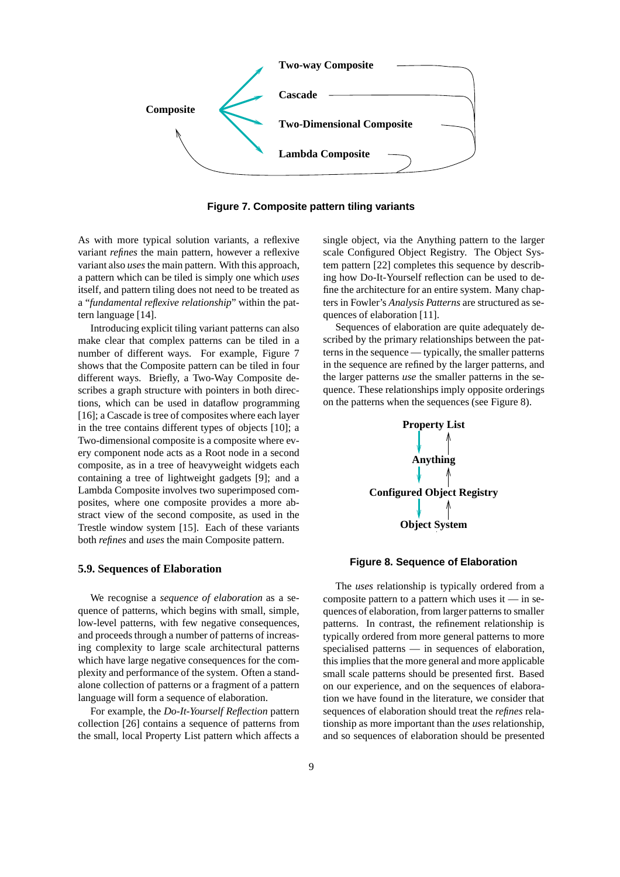

**Figure 7. Composite pattern tiling variants**

As with more typical solution variants, a reflexive variant *refines* the main pattern, however a reflexive variant also *uses* the main pattern. With this approach, a pattern which can be tiled is simply one which *uses* itself, and pattern tiling does not need to be treated as a "*fundamental reflexive relationship*" within the pattern language [14].

Introducing explicit tiling variant patterns can also make clear that complex patterns can be tiled in a number of different ways. For example, Figure 7 shows that the Composite pattern can be tiled in four different ways. Briefly, a Two-Way Composite describes a graph structure with pointers in both directions, which can be used in dataflow programming [16]; a Cascade is tree of composites where each layer in the tree contains different types of objects [10]; a Two-dimensional composite is a composite where every component node acts as a Root node in a second composite, as in a tree of heavyweight widgets each containing a tree of lightweight gadgets [9]; and a Lambda Composite involves two superimposed composites, where one composite provides a more abstract view of the second composite, as used in the Trestle window system [15]. Each of these variants both *refines* and *uses* the main Composite pattern.

### **5.9. Sequences of Elaboration**

We recognise a *sequence of elaboration* as a sequence of patterns, which begins with small, simple, low-level patterns, with few negative consequences, and proceeds through a number of patterns of increasing complexity to large scale architectural patterns which have large negative consequences for the complexity and performance of the system. Often a standalone collection of patterns or a fragment of a pattern language will form a sequence of elaboration.

For example, the *Do-It-Yourself Reflection* pattern collection [26] contains a sequence of patterns from the small, local Property List pattern which affects a single object, via the Anything pattern to the larger scale Configured Object Registry. The Object System pattern [22] completes this sequence by describing how Do-It-Yourself reflection can be used to define the architecture for an entire system. Many chapters in Fowler's *Analysis Patterns* are structured as sequences of elaboration [11].

Sequences of elaboration are quite adequately described by the primary relationships between the patterns in the sequence — typically, the smaller patterns in the sequence are refined by the larger patterns, and the larger patterns *use* the smaller patterns in the sequence. These relationships imply opposite orderings on the patterns when the sequences (see Figure 8).



### **Figure 8. Sequence of Elaboration**

The *uses* relationship is typically ordered from a composite pattern to a pattern which uses it  $-$  in sequences of elaboration, from larger patternsto smaller patterns. In contrast, the refinement relationship is typically ordered from more general patterns to more specialised patterns — in sequences of elaboration, this implies that the more general and more applicable small scale patterns should be presented first. Based on our experience, and on the sequences of elaboration we have found in the literature, we consider that sequences of elaboration should treat the *refines* relationship as more important than the *uses* relationship, and so sequences of elaboration should be presented